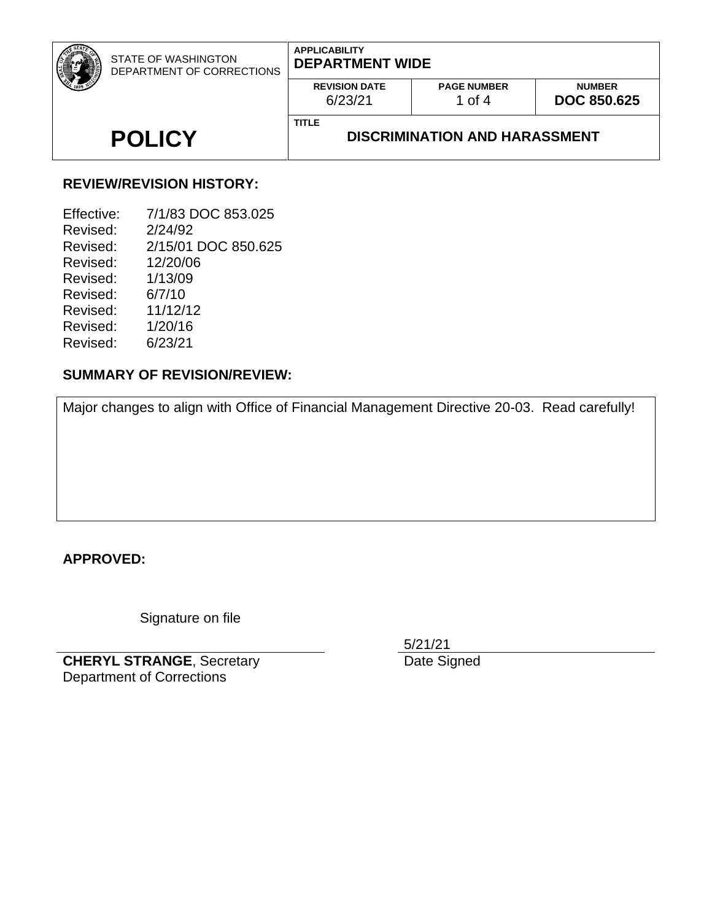| STATE OF WASHINGTON<br>DEPARTMENT OF CORRECTIONS | <b>APPLICABILITY</b><br><b>DEPARTMENT WIDE</b>       |                              |                                     |
|--------------------------------------------------|------------------------------------------------------|------------------------------|-------------------------------------|
|                                                  | <b>REVISION DATE</b><br>6/23/21                      | <b>PAGE NUMBER</b><br>1 of 4 | <b>NUMBER</b><br><b>DOC 850.625</b> |
| <b>POLICY</b>                                    | <b>TITLE</b><br><b>DISCRIMINATION AND HARASSMENT</b> |                              |                                     |

#### **REVIEW/REVISION HISTORY:**

| 7/1/83 DOC 853.025  |
|---------------------|
| 2/24/92             |
| 2/15/01 DOC 850.625 |
| 12/20/06            |
| 1/13/09             |
| 6/7/10              |
| 11/12/12            |
| 1/20/16             |
| 6/23/21             |
|                     |

### **SUMMARY OF REVISION/REVIEW:**

Major changes to align with Office of Financial Management Directive 20-03. Read carefully!

#### **APPROVED:**

Signature on file

**CHERYL STRANGE**, Secretary Department of Corrections

5/21/21

Date Signed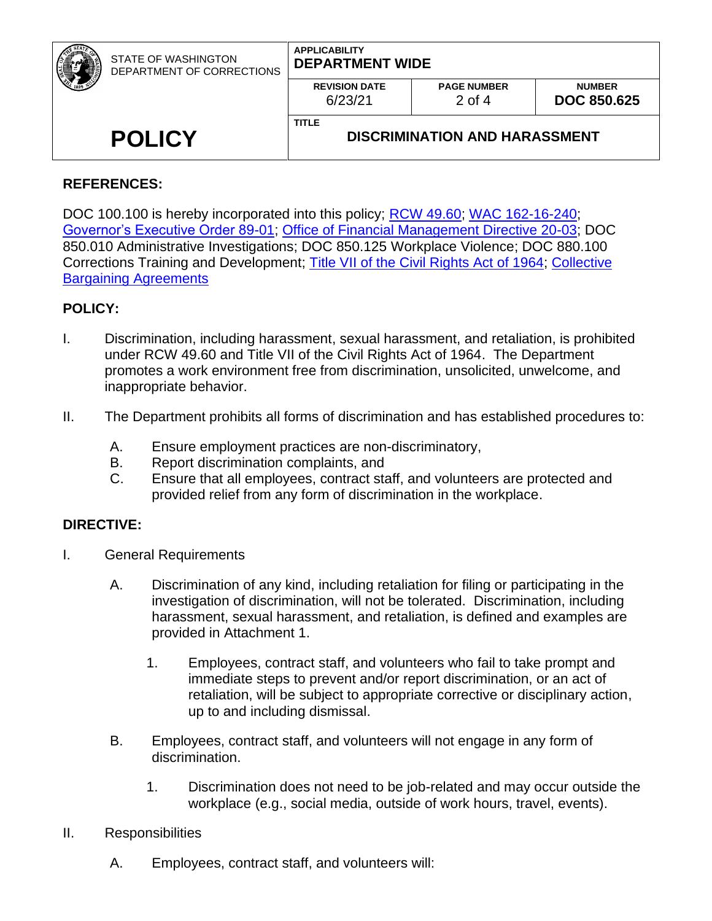| STATE OF WASHINGTON<br>DEPARTMENT OF CORRECTIONS | <b>APPLICABILITY</b><br><b>DEPARTMENT WIDE</b> |                                      |                                     |
|--------------------------------------------------|------------------------------------------------|--------------------------------------|-------------------------------------|
|                                                  | <b>REVISION DATE</b><br>6/23/21                | <b>PAGE NUMBER</b><br>$2$ of 4       | <b>NUMBER</b><br><b>DOC 850.625</b> |
| <b>POLICY</b>                                    | <b>TITLE</b>                                   | <b>DISCRIMINATION AND HARASSMENT</b> |                                     |

# **REFERENCES:**

DOC 100.100 is hereby incorporated into this policy; [RCW 49.60;](http://apps.leg.wa.gov/RCW/default.aspx?cite=49.60) [WAC 162-16-240;](https://apps.leg.wa.gov/wac/default.aspx?cite=162-16-240) [Governor's Executive Order 89-01;](https://www.governor.wa.gov/sites/default/files/exe_order/eo_89-01.pdf) [Office of Financial Management Directive 20-03;](https://www.ofm.wa.gov/sites/default/files/public/shr/Directives/SHR-Directive-20-03.pdf) DOC 850.010 Administrative Investigations; DOC 850.125 Workplace Violence; DOC 880.100 Corrections Training and Development; [Title VII of the Civil Rights Act of 1964;](https://www.eeoc.gov/statutes/title-vii-civil-rights-act-1964) [Collective](https://ofm.wa.gov/state-human-resources/labor-relations/collective-bargaining-agreements)  **[Bargaining Agreements](https://ofm.wa.gov/state-human-resources/labor-relations/collective-bargaining-agreements)** 

#### **POLICY:**

- I. Discrimination, including harassment, sexual harassment, and retaliation, is prohibited under RCW 49.60 and Title VII of the Civil Rights Act of 1964. The Department promotes a work environment free from discrimination, unsolicited, unwelcome, and inappropriate behavior.
- II. The Department prohibits all forms of discrimination and has established procedures to:
	- A. Ensure employment practices are non-discriminatory,
	- B. Report discrimination complaints, and
	- C. Ensure that all employees, contract staff, and volunteers are protected and provided relief from any form of discrimination in the workplace.

#### **DIRECTIVE:**

- I. General Requirements
	- A. Discrimination of any kind, including retaliation for filing or participating in the investigation of discrimination, will not be tolerated. Discrimination, including harassment, sexual harassment, and retaliation, is defined and examples are provided in Attachment 1.
		- 1. Employees, contract staff, and volunteers who fail to take prompt and immediate steps to prevent and/or report discrimination, or an act of retaliation, will be subject to appropriate corrective or disciplinary action, up to and including dismissal.
	- B. Employees, contract staff, and volunteers will not engage in any form of discrimination.
		- 1. Discrimination does not need to be job-related and may occur outside the workplace (e.g., social media, outside of work hours, travel, events).
- II. Responsibilities
	- A. Employees, contract staff, and volunteers will: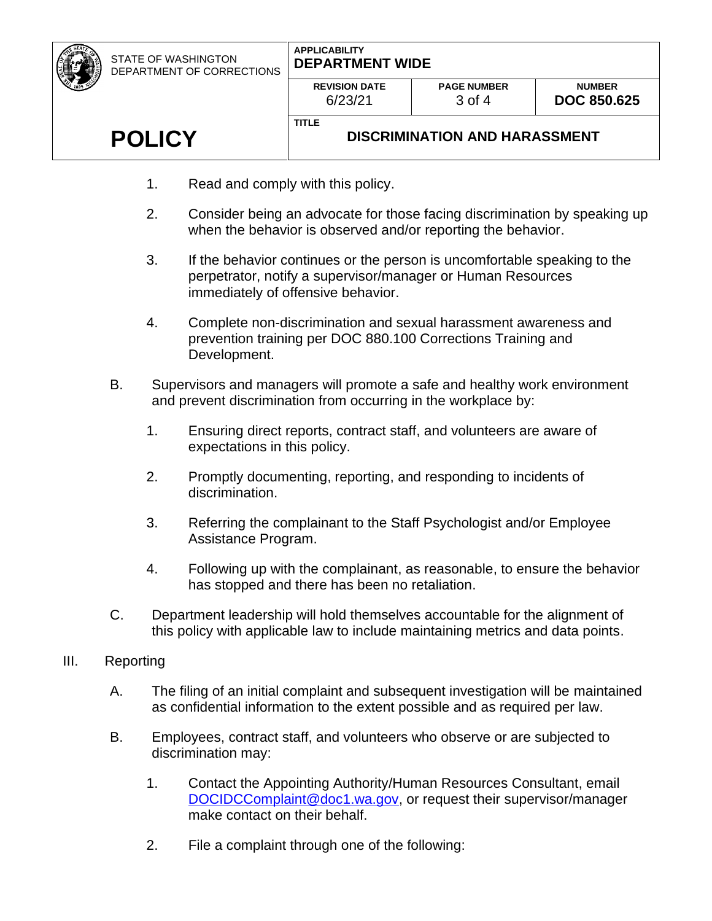STATE OF WASHINGTON DEPARTMENT OF CORRECTIONS

#### **APPLICABILITY DEPARTMENT WIDE**

| <b>REVISION DATE</b> | <b>PAGE NUMBER</b> |
|----------------------|--------------------|
| 6/23/21              | $3 \text{ of } 4$  |

**TITLE**

# **POLICY**

# **DISCRIMINATION AND HARASSMENT**

- 1. Read and comply with this policy.
- 2. Consider being an advocate for those facing discrimination by speaking up when the behavior is observed and/or reporting the behavior.
- 3. If the behavior continues or the person is uncomfortable speaking to the perpetrator, notify a supervisor/manager or Human Resources immediately of offensive behavior.
- 4. Complete non-discrimination and sexual harassment awareness and prevention training per DOC 880.100 Corrections Training and Development.
- B. Supervisors and managers will promote a safe and healthy work environment and prevent discrimination from occurring in the workplace by:
	- 1. Ensuring direct reports, contract staff, and volunteers are aware of expectations in this policy.
	- 2. Promptly documenting, reporting, and responding to incidents of discrimination.
	- 3. Referring the complainant to the Staff Psychologist and/or Employee Assistance Program.
	- 4. Following up with the complainant, as reasonable, to ensure the behavior has stopped and there has been no retaliation.
- C. Department leadership will hold themselves accountable for the alignment of this policy with applicable law to include maintaining metrics and data points.

# III. Reporting

- A. The filing of an initial complaint and subsequent investigation will be maintained as confidential information to the extent possible and as required per law.
- B. Employees, contract staff, and volunteers who observe or are subjected to discrimination may:
	- 1. Contact the Appointing Authority/Human Resources Consultant, email [DOCIDCComplaint@doc1.wa.gov,](mailto:DOCIDCComplaint@doc1.wa.gov) or request their supervisor/manager make contact on their behalf.
	- 2. File a complaint through one of the following: